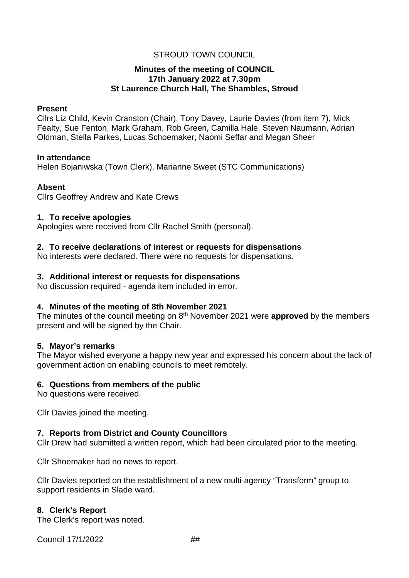# STROUD TOWN COUNCIL

# **Minutes of the meeting of COUNCIL 17th January 2022 at 7.30pm St Laurence Church Hall, The Shambles, Stroud**

## **Present**

Cllrs Liz Child, Kevin Cranston (Chair), Tony Davey, Laurie Davies (from item 7), Mick Fealty, Sue Fenton, Mark Graham, Rob Green, Camilla Hale, Steven Naumann, Adrian Oldman, Stella Parkes, Lucas Schoemaker, Naomi Seffar and Megan Sheer

#### **In attendance**

Helen Bojaniwska (Town Clerk), Marianne Sweet (STC Communications)

# **Absent**

Cllrs Geoffrey Andrew and Kate Crews

## **1. To receive apologies**

Apologies were received from Cllr Rachel Smith (personal).

# **2. To receive declarations of interest or requests for dispensations**

No interests were declared. There were no requests for dispensations.

# **3. Additional interest or requests for dispensations**

No discussion required - agenda item included in error.

# **4. Minutes of the meeting of 8th November 2021**

The minutes of the council meeting on 8th November 2021 were **approved** by the members present and will be signed by the Chair.

# **5. Mayor's remarks**

The Mayor wished everyone a happy new year and expressed his concern about the lack of government action on enabling councils to meet remotely.

# **6. Questions from members of the public**

No questions were received.

Cllr Davies joined the meeting.

# **7. Reports from District and County Councillors**

Cllr Drew had submitted a written report, which had been circulated prior to the meeting.

Cllr Shoemaker had no news to report.

Cllr Davies reported on the establishment of a new multi-agency "Transform" group to support residents in Slade ward.

# **8. Clerk's Report**

The Clerk's report was noted.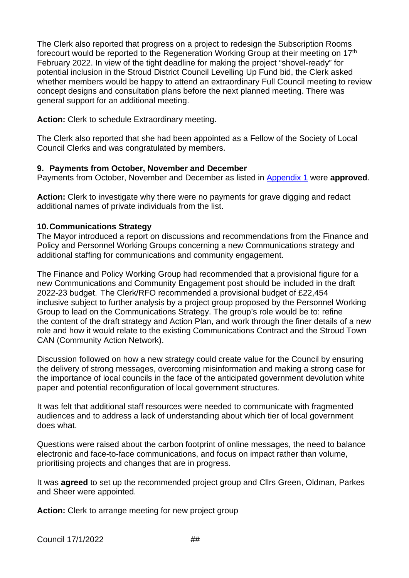The Clerk also reported that progress on a project to redesign the Subscription Rooms forecourt would be reported to the Regeneration Working Group at their meeting on 17th February 2022. In view of the tight deadline for making the project "shovel-ready" for potential inclusion in the Stroud District Council Levelling Up Fund bid, the Clerk asked whether members would be happy to attend an extraordinary Full Council meeting to review concept designs and consultation plans before the next planned meeting. There was general support for an additional meeting.

**Action:** Clerk to schedule Extraordinary meeting.

The Clerk also reported that she had been appointed as a Fellow of the Society of Local Council Clerks and was congratulated by members.

# **9. Payments from October, November and December**

Payments from October, November and December as listed in [Appendix 1](#page-4-0) were **approved**.

**Action:** Clerk to investigate why there were no payments for grave digging and redact additional names of private individuals from the list.

# **10.Communications Strategy**

The Mayor introduced a report on discussions and recommendations from the Finance and Policy and Personnel Working Groups concerning a new Communications strategy and additional staffing for communications and community engagement.

The Finance and Policy Working Group had recommended that a provisional figure for a new Communications and Community Engagement post should be included in the draft 2022-23 budget.  The Clerk/RFO recommended a provisional budget of £22,454 inclusive subject to further analysis by a project group proposed by the Personnel Working Group to lead on the Communications Strategy. The group's role would be to: refine the content of the draft strategy and Action Plan, and work through the finer details of a new role and how it would relate to the existing Communications Contract and the Stroud Town CAN (Community Action Network).

Discussion followed on how a new strategy could create value for the Council by ensuring the delivery of strong messages, overcoming misinformation and making a strong case for the importance of local councils in the face of the anticipated government devolution white paper and potential reconfiguration of local government structures.

It was felt that additional staff resources were needed to communicate with fragmented audiences and to address a lack of understanding about which tier of local government does what.

Questions were raised about the carbon footprint of online messages, the need to balance electronic and face-to-face communications, and focus on impact rather than volume, prioritising projects and changes that are in progress.

It was **agreed** to set up the recommended project group and Cllrs Green, Oldman, Parkes and Sheer were appointed.

**Action:** Clerk to arrange meeting for new project group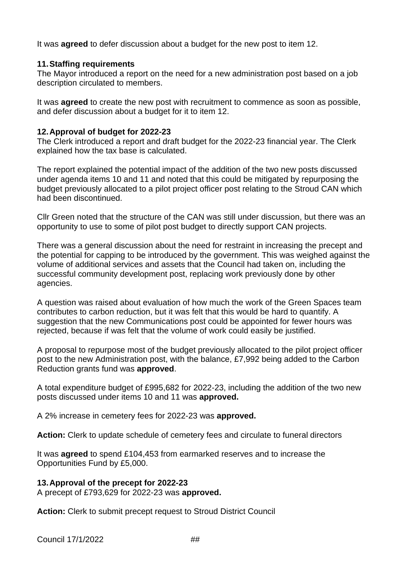It was **agreed** to defer discussion about a budget for the new post to item 12.

# **11.Staffing requirements**

The Mayor introduced a report on the need for a new administration post based on a job description circulated to members.

It was **agreed** to create the new post with recruitment to commence as soon as possible, and defer discussion about a budget for it to item 12.

# **12.Approval of budget for 2022-23**

The Clerk introduced a report and draft budget for the 2022-23 financial year. The Clerk explained how the tax base is calculated.

The report explained the potential impact of the addition of the two new posts discussed under agenda items 10 and 11 and noted that this could be mitigated by repurposing the budget previously allocated to a pilot project officer post relating to the Stroud CAN which had been discontinued.

Cllr Green noted that the structure of the CAN was still under discussion, but there was an opportunity to use to some of pilot post budget to directly support CAN projects.

There was a general discussion about the need for restraint in increasing the precept and the potential for capping to be introduced by the government. This was weighed against the volume of additional services and assets that the Council had taken on, including the successful community development post, replacing work previously done by other agencies.

A question was raised about evaluation of how much the work of the Green Spaces team contributes to carbon reduction, but it was felt that this would be hard to quantify. A suggestion that the new Communications post could be appointed for fewer hours was rejected, because if was felt that the volume of work could easily be justified.

A proposal to repurpose most of the budget previously allocated to the pilot project officer post to the new Administration post, with the balance, £7,992 being added to the Carbon Reduction grants fund was **approved**.

A total expenditure budget of £995,682 for 2022-23, including the addition of the two new posts discussed under items 10 and 11 was **approved.** 

A 2% increase in cemetery fees for 2022-23 was **approved.**

**Action:** Clerk to update schedule of cemetery fees and circulate to funeral directors

It was **agreed** to spend £104,453 from earmarked reserves and to increase the Opportunities Fund by £5,000.

# **13.Approval of the precept for 2022-23**

A precept of £793,629 for 2022-23 was **approved.**

**Action:** Clerk to submit precept request to Stroud District Council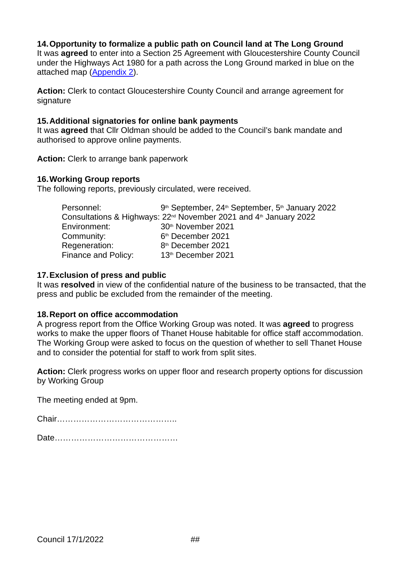# **14.Opportunity to formalize a public path on Council land at The Long Ground**

It was **agreed** to enter into a Section 25 Agreement with Gloucestershire County Council under the Highways Act 1980 for a path across the Long Ground marked in blue on the attached map [\(Appendix 2\)](#page-10-0).

**Action:** Clerk to contact Gloucestershire County Council and arrange agreement for signature

#### **15.Additional signatories for online bank payments**

It was **agreed** that Cllr Oldman should be added to the Council's bank mandate and authorised to approve online payments.

**Action:** Clerk to arrange bank paperwork

## **16.Working Group reports**

The following reports, previously circulated, were received.

| Personnel:          | 9 <sup>th</sup> September, 24 <sup>th</sup> September, 5 <sup>th</sup> January 2022       |
|---------------------|-------------------------------------------------------------------------------------------|
|                     | Consultations & Highways: 22 <sup>nd</sup> November 2021 and 4 <sup>th</sup> January 2022 |
| Environment:        | 30 <sup>th</sup> November 2021                                                            |
| Community:          | 6 <sup>th</sup> December 2021                                                             |
| Regeneration:       | 8 <sup>th</sup> December 2021                                                             |
| Finance and Policy: | 13th December 2021                                                                        |

## **17.Exclusion of press and public**

It was **resolved** in view of the confidential nature of the business to be transacted, that the press and public be excluded from the remainder of the meeting.

#### **18.Report on office accommodation**

A progress report from the Office Working Group was noted. It was **agreed** to progress works to make the upper floors of Thanet House habitable for office staff accommodation. The Working Group were asked to focus on the question of whether to sell Thanet House and to consider the potential for staff to work from split sites.

**Action:** Clerk progress works on upper floor and research property options for discussion by Working Group

The meeting ended at 9pm.

Chair……………………………………..

Date………………………………………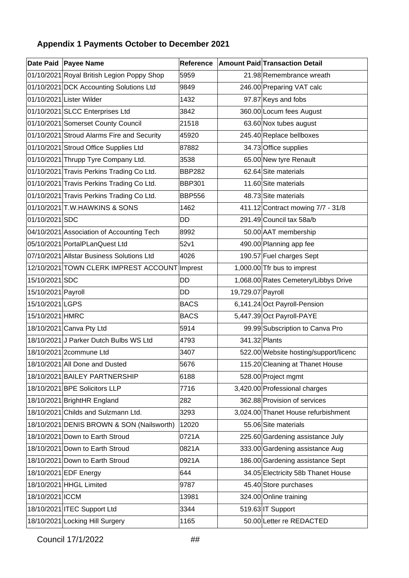# <span id="page-4-0"></span>**Appendix 1 Payments October to December 2021**

|                    | Date Paid Payee Name                          |               |                   | Reference Amount Paid Transaction Detail |
|--------------------|-----------------------------------------------|---------------|-------------------|------------------------------------------|
|                    | 01/10/2021 Royal British Legion Poppy Shop    | 5959          |                   | 21.98 Remembrance wreath                 |
|                    | 01/10/2021 DCK Accounting Solutions Ltd       | 9849          |                   | 246.00 Preparing VAT calc                |
|                    | 01/10/2021 Lister Wilder                      | 1432          |                   | 97.87 Keys and fobs                      |
|                    | 01/10/2021 SLCC Enterprises Ltd               | 3842          |                   | 360.00 Locum fees August                 |
|                    | 01/10/2021 Somerset County Council            | 21518         |                   | 63.60 Nox tubes august                   |
|                    | 01/10/2021 Stroud Alarms Fire and Security    | 45920         |                   | 245.40 Replace bellboxes                 |
|                    | 01/10/2021 Stroud Office Supplies Ltd         | 87882         |                   | 34.73 Office supplies                    |
|                    | 01/10/2021 Thrupp Tyre Company Ltd.           | 3538          |                   | 65.00 New tyre Renault                   |
|                    | 01/10/2021 Travis Perkins Trading Co Ltd.     | <b>BBP282</b> |                   | 62.64 Site materials                     |
|                    | 01/10/2021 Travis Perkins Trading Co Ltd.     | <b>BBP301</b> |                   | 11.60 Site materials                     |
|                    | 01/10/2021 Travis Perkins Trading Co Ltd.     | <b>BBP556</b> |                   | 48.73 Site materials                     |
|                    | 01/10/2021 T.W.HAWKINS & SONS                 | 1462          |                   | 411.12 Contract mowing 7/7 - 31/8        |
| 01/10/2021 SDC     |                                               | <b>DD</b>     |                   | 291.49 Council tax 58a/b                 |
|                    | 04/10/2021 Association of Accounting Tech     | 8992          |                   | 50.00 AAT membership                     |
|                    | 05/10/2021 PortalPLanQuest Ltd                | 52v1          |                   | 490.00 Planning app fee                  |
|                    | 07/10/2021 Allstar Business Solutions Ltd     | 4026          |                   | 190.57 Fuel charges Sept                 |
|                    | 12/10/2021 TOWN CLERK IMPREST ACCOUNT Imprest |               |                   | 1,000.00 Tfr bus to imprest              |
| 15/10/2021 SDC     |                                               | <b>DD</b>     |                   | 1,068.00 Rates Cemetery/Libbys Drive     |
| 15/10/2021 Payroll |                                               | <b>DD</b>     | 19,729.07 Payroll |                                          |
| 15/10/2021 LGPS    |                                               | <b>BACS</b>   |                   | 6,141.24 Oct Payroll-Pension             |
| 15/10/2021 HMRC    |                                               | <b>BACS</b>   |                   | 5,447.39 Oct Payroll-PAYE                |
|                    | 18/10/2021 Canva Pty Ltd                      | 5914          |                   | 99.99 Subscription to Canva Pro          |
|                    | 18/10/2021 J Parker Dutch Bulbs WS Ltd        | 4793          | 341.32 Plants     |                                          |
|                    | 18/10/2021 2commune Ltd                       | 3407          |                   | 522.00 Website hosting/support/licenc    |
|                    | 18/10/2021 All Done and Dusted                | 5676          |                   | 115.20 Cleaning at Thanet House          |
|                    | 18/10/2021 BAILEY PARTNERSHIP                 | 6188          |                   | 528.00 Project mgmt                      |
|                    | 18/10/2021 BPE Solicitors LLP                 | 7716          |                   | 3,420.00 Professional charges            |
|                    | 18/10/2021 BrightHR England                   | 282           |                   | 362.88 Provision of services             |
|                    | 18/10/2021 Childs and Sulzmann Ltd.           | 3293          |                   | 3,024.00 Thanet House refurbishment      |
|                    | 18/10/2021 DENIS BROWN & SON (Nailsworth)     | 12020         |                   | 55.06 Site materials                     |
|                    | 18/10/2021 Down to Earth Stroud               | 0721A         |                   | 225.60 Gardening assistance July         |
|                    | 18/10/2021 Down to Earth Stroud               | 0821A         |                   | 333.00 Gardening assistance Aug          |
|                    | 18/10/2021 Down to Earth Stroud               | 0921A         |                   | 186.00 Gardening assistance Sept         |
|                    | 18/10/2021 EDF Energy                         | 644           |                   | 34.05 Electricity 58b Thanet House       |
|                    | 18/10/2021 HHGL Limited                       | 9787          |                   | 45.40 Store purchases                    |
| 18/10/2021 ICCM    |                                               | 13981         |                   | 324.00 Online training                   |
|                    | 18/10/2021 ITEC Support Ltd                   | 3344          |                   | 519.63 IT Support                        |
|                    | 18/10/2021 Locking Hill Surgery               | 1165          |                   | 50.00 Letter re REDACTED                 |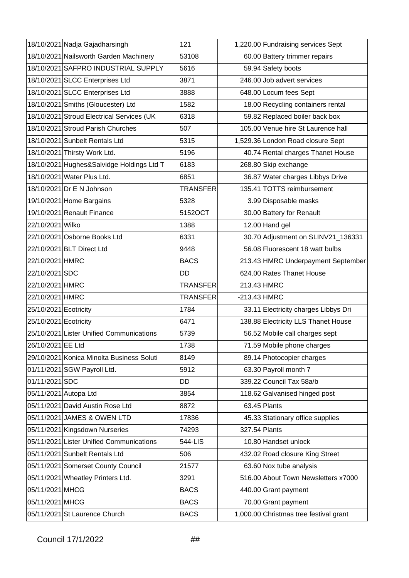|                       | 18/10/2021 Nadja Gajadharsingh            | 121             |                | 1,220.00 Fundraising services Sept     |
|-----------------------|-------------------------------------------|-----------------|----------------|----------------------------------------|
|                       | 18/10/2021 Nailsworth Garden Machinery    | 53108           |                | 60.00 Battery trimmer repairs          |
|                       | 18/10/2021 SAFPRO INDUSTRIAL SUPPLY       | 5616            |                | 59.94 Safety boots                     |
|                       | 18/10/2021 SLCC Enterprises Ltd           | 3871            |                | 246.00 Job advert services             |
|                       | 18/10/2021 SLCC Enterprises Ltd           | 3888            |                | 648.00 Locum fees Sept                 |
|                       | 18/10/2021 Smiths (Gloucester) Ltd        | 1582            |                | 18.00 Recycling containers rental      |
|                       | 18/10/2021 Stroud Electrical Services (UK | 6318            |                | 59.82 Replaced boiler back box         |
|                       | 18/10/2021 Stroud Parish Churches         | 507             |                | 105.00 Venue hire St Laurence hall     |
|                       | 18/10/2021 Sunbelt Rentals Ltd            | 5315            |                | 1,529.36 London Road closure Sept      |
|                       | 18/10/2021 Thirsty Work Ltd.              | 5196            |                | 40.74 Rental charges Thanet House      |
|                       | 18/10/2021 Hughes&Salvidge Holdings Ltd T | 6183            |                | 268.80 Skip exchange                   |
|                       | 18/10/2021 Water Plus Ltd.                | 6851            |                | 36.87 Water charges Libbys Drive       |
|                       | 18/10/2021 Dr E N Johnson                 | <b>TRANSFER</b> |                | 135.41 TOTTS reimbursement             |
|                       | 19/10/2021 Home Bargains                  | 5328            |                | 3.99 Disposable masks                  |
|                       | 19/10/2021 Renault Finance                | 5152OCT         |                | 30.00 Battery for Renault              |
| 22/10/2021 Wilko      |                                           | 1388            |                | 12.00 Hand gel                         |
|                       | 22/10/2021 Osborne Books Ltd              | 6331            |                | 30.70 Adjustment on SLINV21_136331     |
|                       | 22/10/2021 BLT Direct Ltd                 | 9448            |                | 56.08 Fluorescent 18 watt bulbs        |
| 22/10/2021 HMRC       |                                           | <b>BACS</b>     |                | 213.43 HMRC Underpayment September     |
| 22/10/2021 SDC        |                                           | DD              |                | 624.00 Rates Thanet House              |
| 22/10/2021 HMRC       |                                           | <b>TRANSFER</b> | 213.43 HMRC    |                                        |
| 22/10/2021 HMRC       |                                           | <b>TRANSFER</b> | $-213.43$ HMRC |                                        |
| 25/10/2021 Ecotricity |                                           | 1784            |                | 33.11 Electricity charges Libbys Dri   |
| 25/10/2021 Ecotricity |                                           | 6471            |                | 138.88 Electricity LLS Thanet House    |
|                       | 25/10/2021 Lister Unified Communications  | 5739            |                | 56.52 Mobile call charges sept         |
| 26/10/2021 EE Ltd     |                                           | 1738            |                | 71.59 Mobile phone charges             |
|                       | 29/10/2021 Konica Minolta Business Soluti | 8149            |                | 89.14 Photocopier charges              |
|                       | 01/11/2021 SGW Payroll Ltd.               | 5912            |                | 63.30 Payroll month 7                  |
| 01/11/2021 SDC        |                                           | DD              |                | 339.22 Council Tax 58a/b               |
| 05/11/2021 Autopa Ltd |                                           | 3854            |                | 118.62 Galvanised hinged post          |
|                       | 05/11/2021 David Austin Rose Ltd          | 8872            |                | $63.45$ Plants                         |
|                       | 05/11/2021 JAMES & OWEN LTD               | 17836           |                | 45.33 Stationary office supplies       |
|                       | 05/11/2021 Kingsdown Nurseries            | 74293           | 327.54 Plants  |                                        |
|                       | 05/11/2021 Lister Unified Communications  | 544-LIS         |                | 10.80 Handset unlock                   |
|                       | 05/11/2021 Sunbelt Rentals Ltd            | 506             |                | 432.02 Road closure King Street        |
|                       | 05/11/2021 Somerset County Council        | 21577           |                | 63.60 Nox tube analysis                |
|                       | 05/11/2021 Wheatley Printers Ltd.         | 3291            |                | 516.00 About Town Newsletters x7000    |
| 05/11/2021 MHCG       |                                           | <b>BACS</b>     |                | 440.00 Grant payment                   |
| 05/11/2021 MHCG       |                                           | <b>BACS</b>     |                | 70.00 Grant payment                    |
|                       | 05/11/2021 St Laurence Church             | <b>BACS</b>     |                | 1,000.00 Christmas tree festival grant |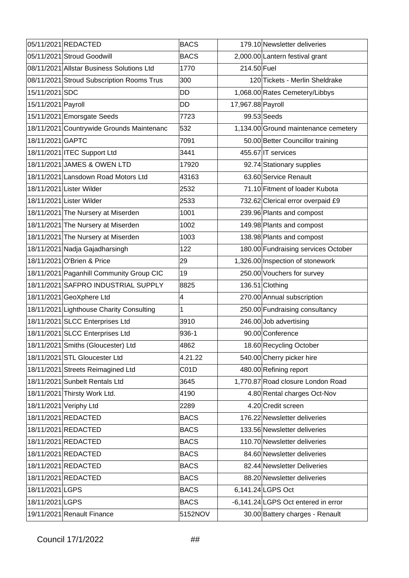|                    | 05/11/2021 REDACTED                       | <b>BACS</b> |                   | 179.10 Newsletter deliveries         |
|--------------------|-------------------------------------------|-------------|-------------------|--------------------------------------|
|                    | 05/11/2021 Stroud Goodwill                | <b>BACS</b> |                   | 2,000.00 Lantern festival grant      |
|                    | 08/11/2021 Allstar Business Solutions Ltd | 1770        | 214.50 Fuel       |                                      |
|                    | 08/11/2021 Stroud Subscription Rooms Trus | 300         |                   | 120 Tickets - Merlin Sheldrake       |
| 15/11/2021 SDC     |                                           | DD          |                   | 1,068.00 Rates Cemetery/Libbys       |
| 15/11/2021 Payroll |                                           | <b>DD</b>   | 17,967.88 Payroll |                                      |
|                    | 15/11/2021 Emorsgate Seeds                | 7723        |                   | 99.53 Seeds                          |
|                    | 18/11/2021 Countrywide Grounds Maintenanc | 532         |                   | 1,134.00 Ground maintenance cemetery |
| 18/11/2021 GAPTC   |                                           | 7091        |                   | 50.00 Better Councillor training     |
|                    | 18/11/2021 ITEC Support Ltd               | 3441        |                   | 455.67 IT services                   |
|                    | 18/11/2021 JAMES & OWEN LTD               | 17920       |                   | 92.74 Stationary supplies            |
|                    | 18/11/2021 Lansdown Road Motors Ltd       | 43163       |                   | 63.60 Service Renault                |
|                    | 18/11/2021 Lister Wilder                  | 2532        |                   | 71.10 Fitment of loader Kubota       |
|                    | 18/11/2021 Lister Wilder                  | 2533        |                   | 732.62 Clerical error overpaid £9    |
|                    | 18/11/2021 The Nursery at Miserden        | 1001        |                   | 239.96 Plants and compost            |
|                    | 18/11/2021 The Nursery at Miserden        | 1002        |                   | 149.98 Plants and compost            |
|                    | 18/11/2021 The Nursery at Miserden        | 1003        |                   | 138.98 Plants and compost            |
|                    | 18/11/2021 Nadja Gajadharsingh            | 122         |                   | 180.00 Fundraising services October  |
|                    | 18/11/2021 O'Brien & Price                | 29          |                   | 1,326.00 Inspection of stonework     |
|                    | 18/11/2021 Paganhill Community Group CIC  | 19          |                   | 250.00 Vouchers for survey           |
|                    | 18/11/2021 SAFPRO INDUSTRIAL SUPPLY       | 8825        |                   | 136.51 Clothing                      |
|                    | 18/11/2021 GeoXphere Ltd                  | 4           |                   | 270.00 Annual subscription           |
|                    | 18/11/2021 Lighthouse Charity Consulting  | 1           |                   | 250.00 Fundraising consultancy       |
|                    | 18/11/2021 SLCC Enterprises Ltd           | 3910        |                   | 246.00 Job advertising               |
|                    | 18/11/2021 SLCC Enterprises Ltd           | 936-1       |                   | 90.00 Conference                     |
|                    | 18/11/2021 Smiths (Gloucester) Ltd        | 4862        |                   | 18.60 Recycling October              |
|                    | 18/11/2021 STL Gloucester Ltd             | 4.21.22     |                   | 540.00 Cherry picker hire            |
|                    | 18/11/2021 Streets Reimagined Ltd         | C01D        |                   | 480.00 Refining report               |
|                    | 18/11/2021 Sunbelt Rentals Ltd            | 3645        |                   | 1,770.87 Road closure London Road    |
|                    | 18/11/2021 Thirsty Work Ltd.              | 4190        |                   | 4.80 Rental charges Oct-Nov          |
|                    | 18/11/2021 Veriphy Ltd                    | 2289        |                   | 4.20 Credit screen                   |
|                    | 18/11/2021 REDACTED                       | <b>BACS</b> |                   | 176.22 Newsletter deliveries         |
|                    | 18/11/2021 REDACTED                       | <b>BACS</b> |                   | 133.56 Newsletter deliveries         |
|                    | 18/11/2021 REDACTED                       | <b>BACS</b> |                   | 110.70 Newsletter deliveries         |
|                    | 18/11/2021 REDACTED                       | <b>BACS</b> |                   | 84.60 Newsletter deliveries          |
|                    | 18/11/2021 REDACTED                       | <b>BACS</b> |                   | 82.44 Newsletter Deliveries          |
|                    | 18/11/2021 REDACTED                       | <b>BACS</b> |                   | 88.20 Newsletter deliveries          |
| 18/11/2021 LGPS    |                                           | <b>BACS</b> |                   | 6,141.24 LGPS Oct                    |
| 18/11/2021 LGPS    |                                           | <b>BACS</b> |                   | -6,141.24 LGPS Oct entered in error  |
|                    | 19/11/2021 Renault Finance                | 5152NOV     |                   | 30.00 Battery charges - Renault      |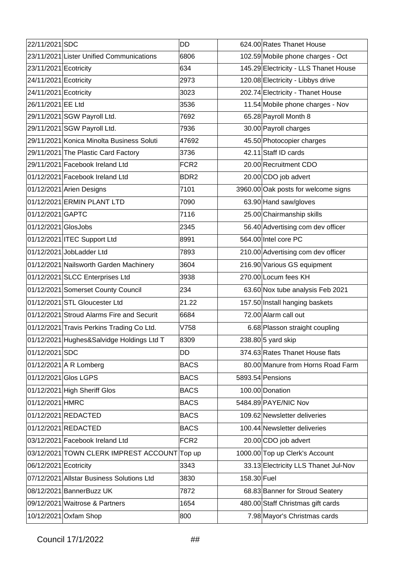| 22/11/2021 SDC        |                                              | <b>DD</b>        |             | 624.00 Rates Thanet House             |
|-----------------------|----------------------------------------------|------------------|-------------|---------------------------------------|
|                       | 23/11/2021 Lister Unified Communications     | 6806             |             | 102.59 Mobile phone charges - Oct     |
| 23/11/2021 Ecotricity |                                              | 634              |             | 145.29 Electricity - LLS Thanet House |
| 24/11/2021 Ecotricity |                                              | 2973             |             | 120.08 Electricity - Libbys drive     |
| 24/11/2021 Ecotricity |                                              | 3023             |             | 202.74 Electricity - Thanet House     |
| 26/11/2021 EE Ltd     |                                              | 3536             |             | 11.54 Mobile phone charges - Nov      |
|                       | 29/11/2021 SGW Payroll Ltd.                  | 7692             |             | 65.28 Payroll Month 8                 |
|                       | 29/11/2021 SGW Payroll Ltd.                  | 7936             |             | 30.00 Payroll charges                 |
|                       | 29/11/2021 Konica Minolta Business Soluti    | 47692            |             | 45.50 Photocopier charges             |
|                       | 29/11/2021 The Plastic Card Factory          | 3736             |             | 42.11 Staff ID cards                  |
|                       | 29/11/2021 Facebook Ireland Ltd              | FCR <sub>2</sub> |             | 20.00 Recruitment CDO                 |
|                       | 01/12/2021 Facebook Ireland Ltd              | BDR <sub>2</sub> |             | 20.00 CDO job advert                  |
|                       | 01/12/2021 Arien Designs                     | 7101             |             | 3960.00 Oak posts for welcome signs   |
|                       | 01/12/2021 ERMIN PLANT LTD                   | 7090             |             | 63.90 Hand saw/gloves                 |
| 01/12/2021 GAPTC      |                                              | 7116             |             | 25.00 Chairmanship skills             |
| 01/12/2021 GlosJobs   |                                              | 2345             |             | 56.40 Advertising com dev officer     |
|                       | 01/12/2021 ITEC Support Ltd                  | 8991             |             | 564.00 Intel core PC                  |
|                       | 01/12/2021 JobLadder Ltd                     | 7893             |             | 210.00 Advertising com dev officer    |
|                       | 01/12/2021 Nailsworth Garden Machinery       | 3604             |             | 216.90 Various GS equipment           |
|                       | 01/12/2021 SLCC Enterprises Ltd              | 3938             |             | 270.00 Locum fees KH                  |
|                       | 01/12/2021 Somerset County Council           | 234              |             | 63.60 Nox tube analysis Feb 2021      |
|                       | 01/12/2021 STL Gloucester Ltd                | 21.22            |             | 157.50 Install hanging baskets        |
|                       | 01/12/2021 Stroud Alarms Fire and Securit    | 6684             |             | 72.00 Alarm call out                  |
|                       | 01/12/2021 Travis Perkins Trading Co Ltd.    | V758             |             | 6.68 Plasson straight coupling        |
|                       | 01/12/2021 Hughes&Salvidge Holdings Ltd T    | 8309             |             | $238.80$ 5 yard skip                  |
| 01/12/2021 SDC        |                                              | <b>DD</b>        |             | 374.63 Rates Thanet House flats       |
|                       | 01/12/2021 A R Lomberg                       | <b>BACS</b>      |             | 80.00 Manure from Horns Road Farm     |
|                       | 01/12/2021 Glos LGPS                         | <b>BACS</b>      |             | 5893.54 Pensions                      |
|                       | 01/12/2021 High Sheriff Glos                 | <b>BACS</b>      |             | 100.00 Donation                       |
| 01/12/2021 HMRC       |                                              | <b>BACS</b>      |             | 5484.89 PAYE/NIC Nov                  |
|                       | 01/12/2021 REDACTED                          | <b>BACS</b>      |             | 109.62 Newsletter deliveries          |
|                       | 01/12/2021 REDACTED                          | <b>BACS</b>      |             | 100.44 Newsletter deliveries          |
|                       | 03/12/2021 Facebook Ireland Ltd              | FCR <sub>2</sub> |             | 20.00 CDO job advert                  |
|                       | 03/12/2021 TOWN CLERK IMPREST ACCOUNT Top up |                  |             | 1000.00 Top up Clerk's Account        |
| 06/12/2021 Ecotricity |                                              | 3343             |             | 33.13 Electricity LLS Thanet Jul-Nov  |
|                       | 07/12/2021 Allstar Business Solutions Ltd    | 3830             | 158.30 Fuel |                                       |
|                       | 08/12/2021 BannerBuzz UK                     | 7872             |             | 68.83 Banner for Stroud Seatery       |
|                       | 09/12/2021 Waitrose & Partners               | 1654             |             | 480.00 Staff Christmas gift cards     |
|                       | 10/12/2021 Oxfam Shop                        | 800              |             | 7.98 Mayor's Christmas cards          |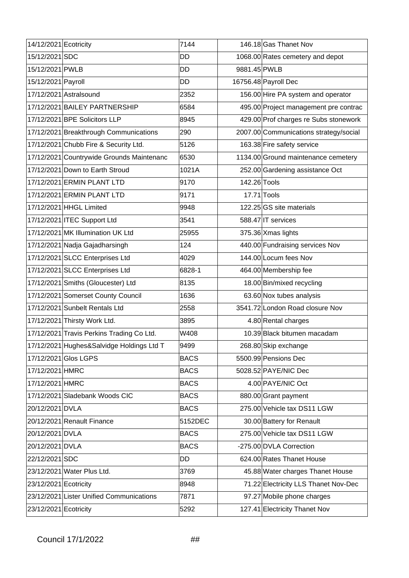| 14/12/2021 Ecotricity |                                           | 7144        |              | 146.18 Gas Thanet Nov                  |
|-----------------------|-------------------------------------------|-------------|--------------|----------------------------------------|
| 15/12/2021 SDC        |                                           | DD          |              | 1068.00 Rates cemetery and depot       |
| 15/12/2021 PWLB       |                                           | DD          | 9881.45 PWLB |                                        |
| 15/12/2021 Payroll    |                                           | <b>DD</b>   |              | 16756.48 Payroll Dec                   |
|                       | 17/12/2021 Astralsound                    | 2352        |              | 156.00 Hire PA system and operator     |
|                       | 17/12/2021 BAILEY PARTNERSHIP             | 6584        |              | 495.00 Project management pre contrac  |
|                       | 17/12/2021 BPE Solicitors LLP             | 8945        |              | 429.00 Prof charges re Subs stonework  |
|                       | 17/12/2021 Breakthrough Communications    | 290         |              | 2007.00 Communications strategy/social |
|                       | 17/12/2021 Chubb Fire & Security Ltd.     | 5126        |              | 163.38 Fire safety service             |
|                       | 17/12/2021 Countrywide Grounds Maintenanc | 6530        |              | 1134.00 Ground maintenance cemetery    |
|                       | 17/12/2021 Down to Earth Stroud           | 1021A       |              | 252.00 Gardening assistance Oct        |
|                       | 17/12/2021 ERMIN PLANT LTD                | 9170        | 142.26 Tools |                                        |
|                       | 17/12/2021 ERMIN PLANT LTD                | 9171        | 17.71 Tools  |                                        |
|                       | 17/12/2021 HHGL Limited                   | 9948        |              | 122.25 GS site materials               |
|                       | 17/12/2021 ITEC Support Ltd               | 3541        |              | 588.47 IT services                     |
|                       | 17/12/2021 MK Illumination UK Ltd         | 25955       |              | 375.36 Xmas lights                     |
|                       | 17/12/2021 Nadja Gajadharsingh            | 124         |              | 440.00 Fundraising services Nov        |
|                       | 17/12/2021 SLCC Enterprises Ltd           | 4029        |              | 144.00 Locum fees Nov                  |
|                       | 17/12/2021 SLCC Enterprises Ltd           | 6828-1      |              | 464.00 Membership fee                  |
|                       | 17/12/2021 Smiths (Gloucester) Ltd        | 8135        |              | 18.00 Bin/mixed recycling              |
|                       | 17/12/2021 Somerset County Council        | 1636        |              | 63.60 Nox tubes analysis               |
|                       | 17/12/2021 Sunbelt Rentals Ltd            | 2558        |              | 3541.72 London Road closure Nov        |
|                       | 17/12/2021 Thirsty Work Ltd.              | 3895        |              | 4.80 Rental charges                    |
|                       | 17/12/2021 Travis Perkins Trading Co Ltd. | W408        |              | 10.39 Black bitumen macadam            |
|                       | 17/12/2021 Hughes&Salvidge Holdings Ltd T | 9499        |              | 268.80 Skip exchange                   |
|                       | 17/12/2021 Glos LGPS                      | <b>BACS</b> |              | 5500.99 Pensions Dec                   |
| 17/12/2021 HMRC       |                                           | <b>BACS</b> |              | 5028.52 PAYE/NIC Dec                   |
| 17/12/2021 HMRC       |                                           | <b>BACS</b> |              | 4.00 PAYE/NIC Oct                      |
|                       | 17/12/2021 Sladebank Woods CIC            | <b>BACS</b> |              | 880.00 Grant payment                   |
| 20/12/2021 DVLA       |                                           | <b>BACS</b> |              | 275.00 Vehicle tax DS11 LGW            |
|                       | 20/12/2021 Renault Finance                | 5152DEC     |              | 30.00 Battery for Renault              |
| 20/12/2021 DVLA       |                                           | <b>BACS</b> |              | 275.00 Vehicle tax DS11 LGW            |
| 20/12/2021 DVLA       |                                           | <b>BACS</b> |              | -275.00 DVLA Correction                |
| 22/12/2021 SDC        |                                           | DD          |              | 624.00 Rates Thanet House              |
|                       | 23/12/2021 Water Plus Ltd.                | 3769        |              | 45.88 Water charges Thanet House       |
| 23/12/2021 Ecotricity |                                           | 8948        |              | 71.22 Electricity LLS Thanet Nov-Dec   |
|                       | 23/12/2021 Lister Unified Communications  | 7871        |              | 97.27 Mobile phone charges             |
| 23/12/2021 Ecotricity |                                           | 5292        |              | 127.41 Electricity Thanet Nov          |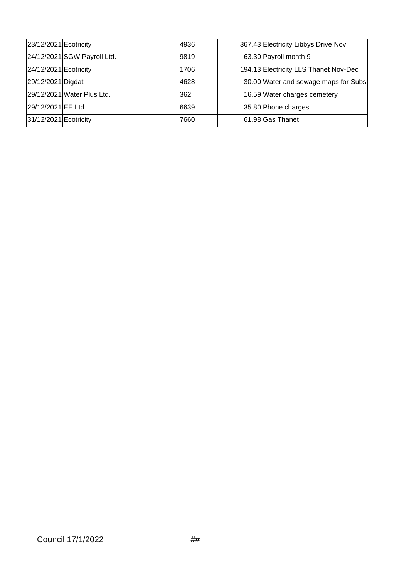| 23/12/2021 Ecotricity |                             | 4936 | 367.43 Electricity Libbys Drive Nov   |
|-----------------------|-----------------------------|------|---------------------------------------|
|                       | 24/12/2021 SGW Payroll Ltd. | 9819 | 63.30 Payroll month 9                 |
| 24/12/2021 Ecotricity |                             | 1706 | 194.13 Electricity LLS Thanet Nov-Dec |
| 29/12/2021 Digdat     |                             | 4628 | 30.00 Water and sewage maps for Subs  |
|                       | 29/12/2021 Water Plus Ltd.  | 362  | 16.59 Water charges cemetery          |
| 29/12/2021 EE Ltd     |                             | 6639 | 35.80 Phone charges                   |
| 31/12/2021 Ecotricity |                             | 7660 | 61.98 Gas Thanet                      |